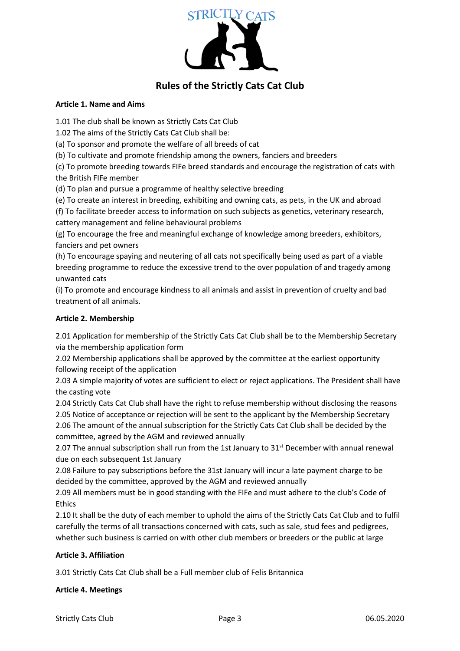

# **Rules of the Strictly Cats Cat Club**

#### **Article 1. Name and Aims**

1.01 The club shall be known as Strictly Cats Cat Club

1.02 The aims of the Strictly Cats Cat Club shall be:

(a) To sponsor and promote the welfare of all breeds of cat

(b) To cultivate and promote friendship among the owners, fanciers and breeders

(c) To promote breeding towards FIFe breed standards and encourage the registration of cats with the British FIFe member

(d) To plan and pursue a programme of healthy selective breeding

(e) To create an interest in breeding, exhibiting and owning cats, as pets, in the UK and abroad

(f) To facilitate breeder access to information on such subjects as genetics, veterinary research,

cattery management and feline behavioural problems

(g) To encourage the free and meaningful exchange of knowledge among breeders, exhibitors, fanciers and pet owners

(h) To encourage spaying and neutering of all cats not specifically being used as part of a viable breeding programme to reduce the excessive trend to the over population of and tragedy among unwanted cats

(i) To promote and encourage kindness to all animals and assist in prevention of cruelty and bad treatment of all animals.

## **Article 2. Membership**

2.01 Application for membership of the Strictly Cats Cat Club shall be to the Membership Secretary via the membership application form

2.02 Membership applications shall be approved by the committee at the earliest opportunity following receipt of the application

2.03 A simple majority of votes are sufficient to elect or reject applications. The President shall have the casting vote

2.04 Strictly Cats Cat Club shall have the right to refuse membership without disclosing the reasons

2.05 Notice of acceptance or rejection will be sent to the applicant by the Membership Secretary 2.06 The amount of the annual subscription for the Strictly Cats Cat Club shall be decided by the committee, agreed by the AGM and reviewed annually

2.07 The annual subscription shall run from the 1st January to 31<sup>st</sup> December with annual renewal due on each subsequent 1st January

2.08 Failure to pay subscriptions before the 31st January will incur a late payment charge to be decided by the committee, approved by the AGM and reviewed annually

2.09 All members must be in good standing with the FIFe and must adhere to the club's Code of Ethics

2.10 It shall be the duty of each member to uphold the aims of the Strictly Cats Cat Club and to fulfil carefully the terms of all transactions concerned with cats, such as sale, stud fees and pedigrees, whether such business is carried on with other club members or breeders or the public at large

## **Article 3. Affiliation**

3.01 Strictly Cats Cat Club shall be a Full member club of Felis Britannica

## **Article 4. Meetings**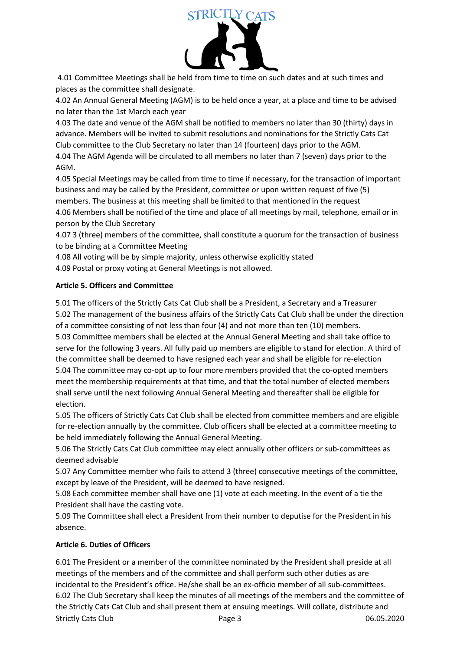

4.01 Committee Meetings shall be held from time to time on such dates and at such times and places as the committee shall designate.

4.02 An Annual General Meeting (AGM) is to be held once a year, at a place and time to be advised no later than the 1st March each year

4.03 The date and venue of the AGM shall be notified to members no later than 30 (thirty) days in advance. Members will be invited to submit resolutions and nominations for the Strictly Cats Cat Club committee to the Club Secretary no later than 14 (fourteen) days prior to the AGM.

4.04 The AGM Agenda will be circulated to all members no later than 7 (seven) days prior to the AGM.

4.05 Special Meetings may be called from time to time if necessary, for the transaction of important business and may be called by the President, committee or upon written request of five (5) members. The business at this meeting shall be limited to that mentioned in the request

4.06 Members shall be notified of the time and place of all meetings by mail, telephone, email or in person by the Club Secretary

4.07 3 (three) members of the committee, shall constitute a quorum for the transaction of business to be binding at a Committee Meeting

4.08 All voting will be by simple majority, unless otherwise explicitly stated

4.09 Postal or proxy voting at General Meetings is not allowed.

# **Article 5. Officers and Committee**

5.01 The officers of the Strictly Cats Cat Club shall be a President, a Secretary and a Treasurer 5.02 The management of the business affairs of the Strictly Cats Cat Club shall be under the direction of a committee consisting of not less than four (4) and not more than ten (10) members.

5.03 Committee members shall be elected at the Annual General Meeting and shall take office to serve for the following 3 years. All fully paid up members are eligible to stand for election. A third of the committee shall be deemed to have resigned each year and shall be eligible for re-election 5.04 The committee may co-opt up to four more members provided that the co-opted members meet the membership requirements at that time, and that the total number of elected members shall serve until the next following Annual General Meeting and thereafter shall be eligible for election.

5.05 The officers of Strictly Cats Cat Club shall be elected from committee members and are eligible for re-election annually by the committee. Club officers shall be elected at a committee meeting to be held immediately following the Annual General Meeting.

5.06 The Strictly Cats Cat Club committee may elect annually other officers or sub-committees as deemed advisable

5.07 Any Committee member who fails to attend 3 (three) consecutive meetings of the committee, except by leave of the President, will be deemed to have resigned.

5.08 Each committee member shall have one (1) vote at each meeting. In the event of a tie the President shall have the casting vote.

5.09 The Committee shall elect a President from their number to deputise for the President in his absence.

# **Article 6. Duties of Officers**

Strictly Cats Club **Page 3** 06.05.2020 6.01 The President or a member of the committee nominated by the President shall preside at all meetings of the members and of the committee and shall perform such other duties as are incidental to the President's office. He/she shall be an ex-officio member of all sub-committees. 6.02 The Club Secretary shall keep the minutes of all meetings of the members and the committee of the Strictly Cats Cat Club and shall present them at ensuing meetings. Will collate, distribute and